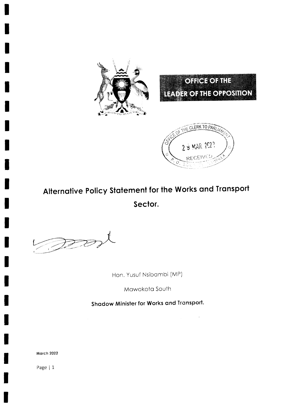





# Alternative Policy Statement for the Works and Transport Sector.

 $D22$ 

Hon. Yusuf Nsibambi (MP)

Mawokota South

Shadow Minister for Works and Transport.

**March 2022**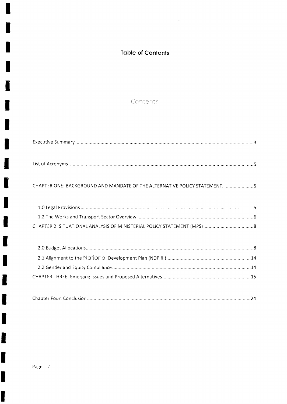## Toble of Contents

 $\sim 100$ 

 $\hat{A}$ 

## Contents

| CHAPTER ONE: BACKGROUND AND MANDATE OF THE ALTERNATIVE POLICY STATEMENT. 5 |  |
|----------------------------------------------------------------------------|--|
|                                                                            |  |
|                                                                            |  |
|                                                                            |  |
|                                                                            |  |
|                                                                            |  |

|--|

 $\frac{1}{2}$ 

 $\blacksquare$ 

۲

4

I

J

I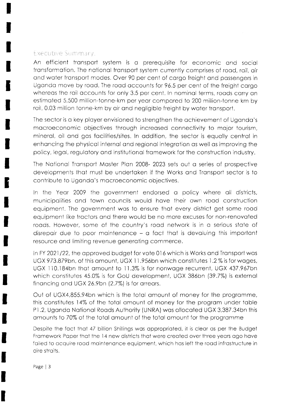#### Executive Summary.

An efficient tronsport system is o prerequisite for economic ond sociol transformation. The national transport system currently comprises of road, rail, air and water transport modes. Over 90 per cent of cargo freight and passengers in Ugondo move by rood. The rood occounts for 96.5 per cent of the freight corgo whereas the rail accounts for only 3.5 per cent. In nominal terms, roads carry an estimoted 5,500 million-tonne-km per yeor compored to 200 mlllion-tonne km by rail, 0.03 million tonne-km by air and negligible freight by water transport.

The secior is o key ployer envisioned to strengthen the ochievement of Ugondo's macroeconomic objectives through increased connectivity to major tourism, minerol, oil ond gos focilities/siies. ln oddition, the sector is equolly centrol in enhoncing the physicol internol ond regionol integrotion os well os improving the policy, legol, regulotory ond institutionol fromework for the construction industry.

The Notionol Tronsport Moster Plon 2008- 2023 sets out o series of prospective developments that must be undertaken if the Works and Transport sector is to contribule to Ugondo's mocroeconomic objectives.

ln the Yeor 2009 the government endorsed o policy where oll districts, municipolities ond town councils would hove their own rood construction equipment. The government wos to ensure thot every district get some rood equipment like tractors and there would be no more excuses for non-renovated roods. However, some of the country's rood network is in o serious stote of disrepair due to poor maintenance – a fact that is devaluing this important resource ond limiting revenue generoting commerce.

In FY 2021/22, the approved budget for vote 016 which is Works and Transport was UGX 973.879bn, of this amount, UGX 11.956bn which constitutes 1.2% is for wages, UGX 110.184bn that amount to 11.3% is for nonwage recurrent, UGX 437.967bn which constitutes 45.0% is for GoU development, UGX 386bn (39.7%) is externol finoncing ond UGX 26.9bn (2.7%) is for orreors.

Out of UGX4,855.94bn which is the total amount of money for the programme, this constitutes 14% of the totol omount of money for the progrom under toble <sup>P</sup>1 .2, Ugondo Notionol Roods Authoriiy (UNRA) wos ollocoted UGX 3,387.34bn ihis amounts to 70% of the total amount of the total amount for the programme

Despite the fact that 47 billion Shillings was appropriated, it is clear as per the Budget Framework Paper that the 14 new districts that were created over three years ago have failed to acquire road maintenance equipment, which has left the road infrastructure in dire stroits.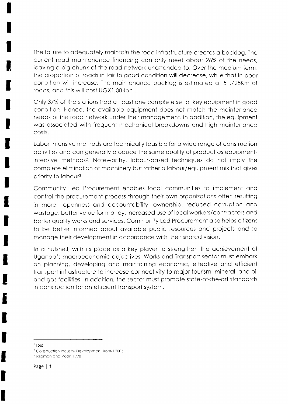The foilure to odequotely mointoin the rood infrostructure creotes o bocklog. The current road maintenance financing can only meet about 26% of the needs, leoving o big chunk of the rood network unottended to. Over the medium term, the proportion of roods in foir to good condition will decreose, while thot in poor condition will increose. The mointenonce bocklog is estimoted of 5l ,725Km of roads, and this will cost UGX1,084bn<sup>1</sup>.

Only 37% of the stotions hod of leost one complete set of key equipment in good condition. Hence, the available equipment does not match the maintenance needs of the rood network under their monogement. ln oddition, the equipment was associated with frequent mechanical breakdowns and high maintenance costs.

Lobor-intensive methods ore technicolly feosible for o wide ronge of construction octivities ond con generolly produce the some quolity of product os equipmentintensive methods2. Noteworthy, lobour-bosed techniques do not imply the complete eliminotion of mochinery but rother o lobour/equipmeni mix thot gives priority to labour<sup>3</sup>

Community Led Procurement enobles locol communities to implement ond control the procurement process through their own organizations often resulting in more openness ond occountobility, ownership, reduced corruption ond wastage, better value for money, increased use of local workers/contractors and better quolity works ond services. Community Led Procurement olso helps citizens to be better informed obout ovoiloble public resources ond projects ond to monoge their development in occordonce with their shored vision.

In o nutshell, with its ploce os o key ployer to strengthen the ochievement of Uganda's macroeconomic objectives, Works and Transport sector must embark on planning, developing and maintaining economic, effective and efficient transport infrastructure to increase connectivity to major tourism, mineral, and oil ond gos focilities. ln oddilion, the sector must promote stote-of-the-ort stondords in construction for an efficient transport system.

J

 $\frac{1}{2}$  Ibid

 $2$  Construction Industry Development Board 2005

<sup>&</sup>lt;sup>3</sup> Tajgman and Veen 1998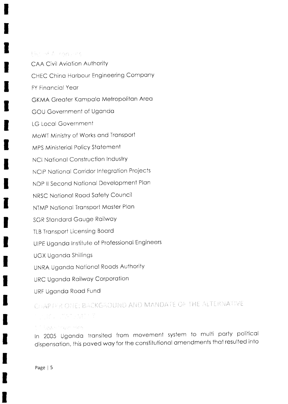#### Here K A rangers

**CAA Civil Aviation Authority** CHEC China Harbour Engineering Company **FY Financial Year** GKMA Greater Kampala Metropolitan Area GOU Government of Uganda LG Local Government MoWT Ministry of Works and Transport MPS Ministerial Policy Statement **NCI National Construction Industry** NCIP National Corridor Integration Projects NDP II Second National Development Plan NRSC National Road Safety Council NTMP National Transport Master Plan **SGR Standard Gauge Railway TLB Transport Licensing Board** UIPE Uganda Institute of Professional Engineers **UGX Uganda Shillings** UNRA Uganda National Roads Authority URC Uganda Railway Corporation URF Uganda Road Fund

CHAPTER ONE: BACKGROUND AND MANDATE OF THE ALTERNATIVE **不过了。""你们不好了?"** 

#### Site age to permitte

In 2005 Uganda transited from movement system to multi party political dispensation, this paved way for the constitutional amendments that resulted into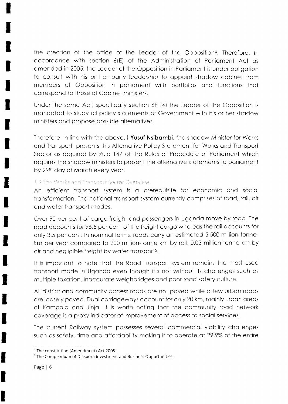the creation of the office of the Leader of the Opposition<sup>4</sup>. Therefore, in accordance with section 6(E) of the Administration of Parliament Act as amended in 2005, the Leader of the Opposition in Parliament is under obligation to consult with his or her party leadership to appoint shadow cabinet from members of Opposition in parliament with portfolios and functions that correspond to those of Cabinet ministers.

Under the same Act, specifically section 6E (4) the Leader of the Opposition is mandated to study all policy statements of Government with his or her shadow ministers and propose possible alternatives.

Therefore, in line with the above, I Yusuf Nsibambi, the shadow Minister for Works and Transport presents this Alternative Policy Statement for Works and Transport Sector as required by Rule 147 of the Rules of Procedure of Parliament which requires the shadow ministers to present the alternative statements to parliament by 29th day of March every year.

#### 1.2 The Works and Transport Sector Overview.

An efficient transport system is a prerequisite for economic and social transformation. The national transport system currently comprises of road, rail, air and water transport modes.

Over 90 per cent of cargo freight and passengers in Uganda move by road. The road accounts for 96.5 per cent of the freight cargo whereas the rail accounts for only 3.5 per cent. In nominal terms, roads carry an estimated 5,500 million-tonnekm per year compared to 200 million-tonne km by rail, 0.03 million tonne-km by air and negligible freight by water transport<sup>5</sup>.

It is important to note that the Road Transport system remains the most used transport mode in Uganda even though it's not without its challenges such as multiple taxation, inaccurate weighbridges and poor road safety culture.

All district and community access roads are not paved while a few urban roads are loosely paved. Dual carriageways account for only 20 km, mainly urban areas of Kampala and Jinja. It is worth noting that the community road network coverage is a proxy indicator of improvement of access to social services.

The current Railway system possesses several commercial viability challenges such as safety, time and affordability making it to operate at 29.9% of the entire

<sup>&</sup>lt;sup>4</sup> The constitution (Amendment) Act 2005

<sup>&</sup>lt;sup>5</sup> The Compendium of Diaspora Investment and Business Opportunities.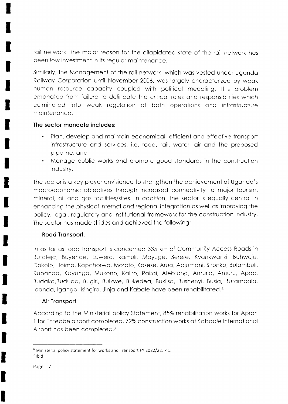roil network. The mojor reoson for the dilopidoted stote of the roil network hos been low investment in its regulor mointenonce.

Similarly, the Management of the rail network, which was vested under Uganda Roilwoy Corporotion until November 2006, wos lorgely chorocterized by weok humon resource copociiy coupled with politicol meddling. This problem emonoted from foilure to delineote the criticol roles ond responsibilities which culminated into weak regulation of both operations and infrastructure mointenonce.

#### The sector mondote includes

- Plan, develop and maintain economical, efficient and effective transport infrostructure ond services, i.e. rood, roil, woter, oir ond the proposed pipeline; ond a
- Monoge public works ond promote good stondords in the construction industry.

The sector is a key player envisioned to strengthen the achievement of Uganda's mocroeconomic objectives through increosed connectivity to mojor tourism, minerol, oil ond gos focilities/sites. ln oddition, the sector is equolly centrol in enhoncing the physicol internol ond regionol integrotion os well os improving the policy, legol, regulotory ond institutionol fromework for the construction industry. Ihe sector hos mode strides ond ochieved the following;

## Rood Tronsport.

ln os for os rood tronsport is concerned 335 km of Community Access Roods in Butolejo, Buyende, Luwero. komuli, Moyuge, Serere, Kyonkwonzi, Buhweju, Dokolo, Hoimo, Kopchonvo, Moroto, Kosese, Aruo, Adjumoni, Sironko, Bulombuli, Rubanda, Kayunga, Mukono, Kaliro, Rakai, Alebtong, Amuria, Amuru, Apac, Budoko,Bududo, Bugiri, Buikwe. Bukedeo, Bukiiso, Bushenyi, Busio, Butombolo, lbanda, Iganga, Isingiro, Jinja and Kabale have been rehabilitated.<sup>6</sup>

## Air Tronsport

According to the Ministerial policy Statement, 85% rehabilitation works for Apron 1 for Entebbe airport completed, 72% construction works at Kabaale International Airport hos been completed./

 $6$  Ministerial policy statement for works and Transport FY 2022/22, P.1.

 $7$  Ibid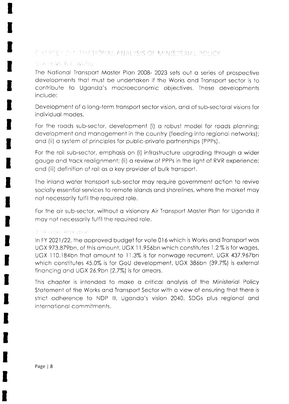### CHAPTER 2: SITUATIONAL ANALYSIS OF MINISTERIAL POLICY

## STATEMENT (MPS)

The Notionol Tronsport Moster Plon 2008- 2023 sets out o series of prospeciive developments that must be undertaken if the Works and Transport sector is to contribuie io Ugondo's mocroeconomic objectives. These developments include:

Development of o long-term tronsport sector vision, ond of sub-sectorol visions for individuol modes.

For the roads sub-sector, development (i) a robust model for roads planning; development and management in the country (feeding into regional networks); ond (ii) o system of principles for public-privote portnerships (PPPs).

For the rail sub-sector, emphasis on (i) infrastructure upgrading through a wider gouge ond trock reolignmeni, (ii) o review of PPPs in the light of RVR experience; ond (iii) definition of roil os o key provider of bulk tronsport.

The inlond woter ironsport sub-sector moy require government oction to revive sociolly essentiol services to remote islonds ond shorelines, where the morket moy not necessorily fulfil the required role.

For the air sub-sector, without a visionary Air Transport Master Plan for Uganda it moy not necessorily fulfil the required role.

#### 2.9 Earber Ahorations

In FY 2021/22, the approved budget for vote 016 which is Works and Transport was UGX 973.879bn, of this omount, UGX I I .956bn which constitutes 1 .2% is for woges, UGX 110.184bn that amount to 11.3% is for nonwage recurrent, UGX 437.967bn which constitutes 45.0% is for GoU development, UGX 386bn (39.7%) is externol financing and UGX 26.9bn (2.7%) is for arrears.

This chapter is intended to make a critical analysis of the Ministerial Policy Statement of the Works and Transport Sector with a view of ensuring that there is strict adherence to NDP III, Uganda's vision 2040, SDGs plus regional and international commitments.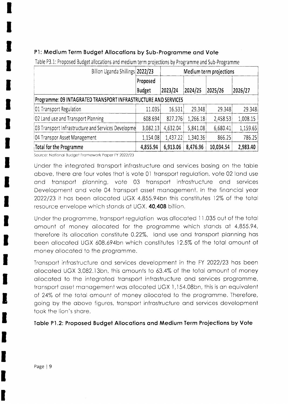## P1: Medium Term Budget Allocations by Sub-Programme and Vote

| Billion Uganda Shillings 2022/23                               |               | Medium term projections |          |           |          |  |  |  |
|----------------------------------------------------------------|---------------|-------------------------|----------|-----------|----------|--|--|--|
|                                                                | Proposed      |                         |          |           |          |  |  |  |
|                                                                | <b>Budget</b> | 2023/24                 | 2024/25  | 2025/26   | 2026/27  |  |  |  |
| Programme: 09 INTAGRATED TRANSPORT INFRASTRUCTURE AND SERVICES |               |                         |          |           |          |  |  |  |
| 01 Transport Regulation                                        | 11.035        | 16.531                  | 29.348   | 29.348    | 29.348   |  |  |  |
| 02 Land use and Transport Planning                             | 608.694       | 827.276                 | 1,266.18 | 2,458.53  | 1,008.15 |  |  |  |
| 03 Transport Infrastructure and Services Developme             | 3,082.13      | 4,632.04                | 5,841.08 | 6,680.41  | 1,159.65 |  |  |  |
| 04 Transpor Asset Management                                   | 1,154.08      | 1,437.22                | 1,340.36 | 866.25    | 786.25   |  |  |  |
| Total for the Programme                                        | 4,855.94      | 6,913.06                | 8,476.96 | 10,034.54 | 2,983.40 |  |  |  |

Table P3.1: Proposed Budget allocations and medium term projections by Programme and Sub-Programme

Source: National Budget Framework Paper FY 2022/23

Under the integrated transport infrastructure and services basing on the table above, there are four votes that is vote 01 transport regulation, vote 02 land use and transport planning, vote 03 transport infrastructure and services Development and vote 04 transport asset management. In the financial year 2022/23 it has been allocated UGX 4,855.94bn this constitutes 12% of the total resource envelope which stands at UGX. 40,408 billion.

Under the programme, transport regulation was allocated 11.035 out of the total amount of money allocated for the programme which stands at 4,855.94, therefore its allocation constitute 0.22%, land use and transport planning has been allocated UGX 608.694bn which constitutes 12.5% of the total amount of money allocated to the programme.

Transport infrastructure and services development in the FY 2022/23 has been allocated UGX 3,082.13bn, this amounts to 63.4% of the total amount of money allocated to the integrated transport infrastructure and services programme, transport asset management was allocated UGX 1,154.08bn, this is an equivalent of 24% of the total amount of money allocated to the programme. Therefore, going by the above figures, transport infrastructure and services development took the lion's share.

Table P1.2: Proposed Budget Allocations and Medium Term Projections by Vote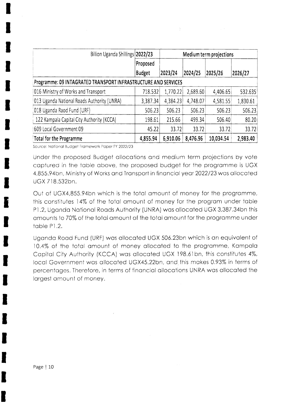| Billion Uganda Shillings 2022/23                               |               | Medium term projections |          |           |          |  |  |  |
|----------------------------------------------------------------|---------------|-------------------------|----------|-----------|----------|--|--|--|
|                                                                | Proposed      |                         |          |           |          |  |  |  |
|                                                                | <b>Budget</b> | 2023/24                 | 2024/25  | 2025/26   | 2026/27  |  |  |  |
| Programme: 09 INTAGRATED TRANSPORT INFRASTRUCTURE AND SERVICES |               |                         |          |           |          |  |  |  |
| 016 Ministry of Works and Transport                            | 718.532       | 1,770.22                | 2,689.60 | 4,406.65  | 532.635  |  |  |  |
| 013 Uganda National Roads Authority (UNRA)                     | 3,387.34      | 4,384.23                | 4,748.07 | 4,581.55  | 1,830.61 |  |  |  |
| 018 Uganda Raod Fund (URF)                                     | 506.23        | 506.23                  | 506.23   | 506.23    | 506.23   |  |  |  |
| 122 Kampala Capital City Authority (KCCA)                      | 198.61        | 215.66                  | 499.34   | 506.40    | 80.20    |  |  |  |
| 609 Local Government 09                                        | 45.22         | 33.72                   | 33.72    | 33.72     | 33.72    |  |  |  |
| Total for the Programme                                        | 4,855.94      | 6,910.06                | 8,476.96 | 10,034.54 | 2,983.40 |  |  |  |

 $\sum_{i=1}^n\sum_{j=1}^n\left(\frac{1}{\|x_j\|_{\infty}}\right)^2\leq\frac{1}{\|x_j\|_{\infty}}\sum_{j=1}^n\left(\frac{1}{\|x_j\|_{\infty}}\right)^2\leq\frac{1}{\|x_j\|_{\infty}}\sum_{j=1}^n\left(\frac{1}{\|x_j\|_{\infty}}\right)^2.$ 

 $\sim 10^{-10}$ 

Source: National Budget Framework Paper FY 2022/23

Under the proposed Budget allocations and medium term projections by vote captured in the table above, the proposed budget for the programme is UGX 4,855.94bn, Ministry of Works and Transport in financial year 2022/23 was allocated UGX 718.532bn.

Out of UGX4,855.94bn which is the total amount of money for the programme, this constitutes 14% of the total amount of money for the program under table P1.2, Uganda National Roads Authority (UNRA) was allocated UGX 3,387.34bn this amounts to 70% of the total amount of the total amount for the programme under table P1.2.

Uganda Road Fund (URF) was allocated UGX 506.23bn which is an equivalent of 10.4% of the total amount of money allocated to the programme, Kampala Capital City Authority (KCCA) was allocated UGX 198.61bn, this constitutes 4%, local Government was allocated UGX45.22bn, and this makes 0.93% in terms of percentages. Therefore, in terms of financial allocations UNRA was allocated the largest amount of money.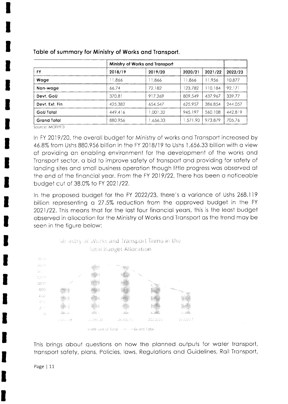| FY              | Ministry of Works and Transport |          |          |         |         |  |
|-----------------|---------------------------------|----------|----------|---------|---------|--|
|                 | 2018/19                         | 2019/20  | 2020/21  | 2021/22 | 2022/23 |  |
| Wage            | .866                            | 1.866    | 11.866   | 11.956  | 10.877  |  |
| Non-wage        | 66.74                           | 72.182   | 123.782  | 110.184 | 92.171  |  |
| Devt. GoU       | 370.81                          | 917.269  | 809.549  | 437.967 | 339.77  |  |
| Devt. Ext. Fin. | 425.382                         | 654.547  | 625.957  | 386.854 | 244.057 |  |
| GoU Total       | 449.416                         | 1.001.32 | 945.197  | 560.108 | 442.819 |  |
| Grand Total     | 880.956                         | .656.33  | 1,571.90 | 973.879 | 705.76  |  |

Table of summary for Ministry of Works and Transport.

Source: MOFPED

In FY 2019/20, the overall budget for Ministry of works and Transport increased by 46.8% from Ushs 880.956 billion in the FY 2018/19 to Ushs 1,656.33 billion with a view of providing an enabling environment for the development of the works and Transport sector, a bid to improve safety of transport and providing for safety of landing sites and small business operation though little progress was observed at the end of the financial year. From the FY 2019/22, There has been a noticeable budget cut of 38.0% to FY 2021/22.

In the proposed budget for the FY 2022/23, there's a variance of Ushs 268.119 billion representing a 27.5% reduction from the approved budget in the FY 2021/22. This means that for the last four financial years, this is the least budget observed in allocation for the Ministry of Works and Transport as the trend may be seen in the figure below:



This brings about questions on how the planned outputs for water transport, transport safety, plans, Policies, laws, Regulations and Guidelines, Rail Transport,

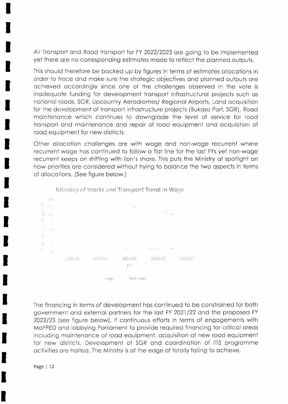Air Transport and Road transport for FY 2022/2023 are going to be implemented yet there ore no corresponding estimotes mode to reflect the plonned outputs.

This should therefore be bocked up by flgures in terms of estimotes ollocotions in order to troce ond moke sure the sirotegic objectives ond plonned outputs ore ochieved occordingly since one of the chollenges observed in the vote is inadequate funding for development transport infrastructural projects such as notionol roods, SGR, Upcountry Aerodromes/ Regionol Airporis, Lond ocquisilion for the development of transport infrastructure projects (Bukasa Port, SGR), Road maintenance which continues to downgrade the level of service for road tronsport ond mointenonce ond repoir of rood equipment ond ocquisition of rood equipment for new districts.

Other ollocotion chollenges ore with woge ond non-woge recurrent where recurrent woge hos continued to follow o flot line for the lost FYs yet non-woge recurrent keeps on shifting with lion's share. This puts the Ministry at spotlight on how priorities ore considered without trying to bolonce the two ospects in terms of ollocotions. (See figure below,)



Ministry of Works and Transport Trend in Wage

The finoncing in terms of development hos continued to be constroined for both government and external partners for the last FY 2021/22 and the proposed FY 2022123 (see figure below). lf continuous efforts in terms of engogements with MoFPED ond lobbying Porlioment to provide required finoncing for criticol oreos including maintenance of road equipment, acquisition of new road equipment for new districts, Development of SGR and coordination of ITIS programme octivities are halted, The Ministry is at the edge of totally failing to achieve.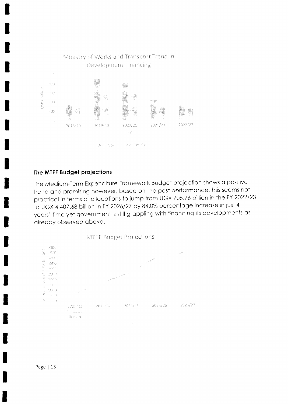

#### The MTEF Budget projections

The Medium-Term Expenditure Framework Budget projection shows a positive trend and promising however, based on the past performance, this seems not practical in terms of allocations to jump from UGX 705.76 billion in the FY 2022/23 to UGX 4,407.68 billion in FY 2026/27 by 84.0% percentage increase in just 4 years' time yet government is still grappling with financing its developments as already observed above.

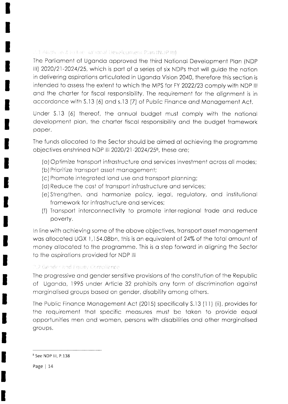#### 1.1 Aligno levit to the stational Development Plan INDP III)

The Parliament of Uganda approved the third National Development Plan (NDP) lll) 202012)-2024125, which is port of o serles of six NDPs thot will guide the noiion in delivering ospirotions orticuloted in Ugondo Vision2040, therefore this section is intended to assess the extent to which the MPS for FY 2022/23 comply with NDP III ond the chorter for fiscol responsibility. The requirement for the olignment is in accordance with S.13 (6) and s.13 (7) of Public Finance and Management Act.

Under S.13 (6) thereof, ihe onnuol budget musl comply with the notionol development plan, the charter fiscal responsibility and the budget framework poper.

The funds ollocoted to the Sector should be oimed of ochieving the progromme objectives enshrined NDP III 2020/21-2024/25<sup>8</sup>, these are;

- (o)Optimize tronsport infrostructure ond services investment ocross oll modes;
- (b) Prioritize tronsport osset monogement;
- (c) Promote integroted lond use ond tronsport plonning;
- (d) Reduce the cost of transport infrastructure and services;
- (e)Strengthen, ond hormonize policy, Iegol, regulotory, ond institutionol fromework for infrostructure ond services;
- (f) Tronsport interconnectivity to promote inter-regionol trode ond reduce poverty.

ln line with ochieving some of the obove objectives, tronsport osset monogement was allocated UGX 1,154.08bn, this is an equivalent of 24% of the total amount of money allocated to the programme. This is a step forward in aligning the Sector to the ospirotions provided for NDP lll

## 2.2 Gender and Fquity Compliance

The progressive ond gender sensitive provisions of the constiiution of the Republic of Ugondo, 1995 under Article 32 prohibits ony form of discriminotion ogoinst morginolised groups bosed on gender, disobility among others.

The Public Finonce Monogement Act (2015) speciflcolly S.13 (ll) (ii), provides for the requirement that specific measures must be taken to provide equal opportunities men and women, persons with disabilities and other marginalised groups.

<sup>&</sup>lt;sup>8</sup> See NDP III, P.138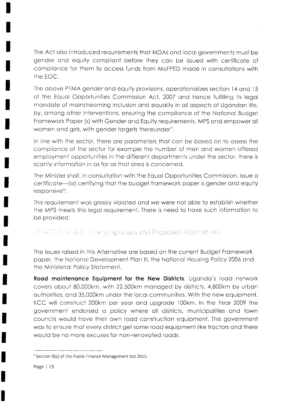The Act also introduced requirements that MDAs and local governments must be gender and equity compliant before they can be issued with certificate of compliance for them to access funds from MoFPED made in consultations with the EOC.

The above PFMA gender and equity provisions, operationalizes section 14 and 15 of the Equal Opportunities Commission Act, 2007 and hence fulfilling its legal mandate of mainstreaming inclusion and equality in all aspects of Ugandan life, by, among other interventions, ensuring the compliance of the National Budget Framework Paper (s) with Gender and Equity requirements. MPS and empower all women and girls, with gender targets thereunder".

In line with the sector, there are parameters that can be based on to assess the compliance of the sector for example the number of men and women offered employment opportunities in the different departments under the sector, there is scanty information in as far as that area is concerned.

The Minister shall, in consultation with the Equal Opportunities Commission, issue a certificate—(a) certifying that the budget framework paper is gender and equity responsive<sup>9</sup>;

This requirement was grossly violated and we were not able to establish whether the MPS meets this legal requirement. There is need to have such information to be provided.

CHAPTER TERLE. Emerging Issues and Proposed Alternatives.

The issues raised in this Alternative are based on the current Budget Framework paper, the National Development Plan III, the National Housing Policy 2006 and the Ministerial Policy Statement.

Road maintenance Equipment for the New Districts. Uganda's road network covers about 80,000km, with 22,500km managed by districts, 4,800km by urban authorities, and 35,000km under the local communities. With the new equipment, KCC will construct 200km per year and upgrade 100km. In the Year 2009 the government endorsed a policy where all districts, municipalities and town councils would have their own road construction equipment. The government was to ensure that every district get some road equipment like tractors and there would be no more excuses for non-renovated roads.

<sup>&</sup>lt;sup>9</sup> Section 9(6) of the Public Finance Management Act 2015.